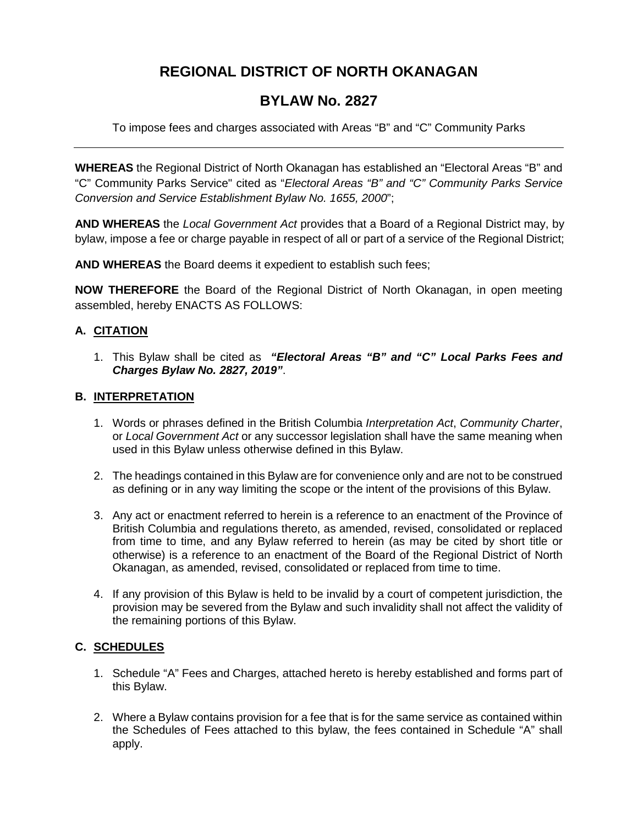### **REGIONAL DISTRICT OF NORTH OKANAGAN**

### **BYLAW No. 2827**

To impose fees and charges associated with Areas "B" and "C" Community Parks

**WHEREAS** the Regional District of North Okanagan has established an "Electoral Areas "B" and "C" Community Parks Service" cited as "*Electoral Areas "B" and "C" Community Parks Service Conversion and Service Establishment Bylaw No. 1655, 2000*";

**AND WHEREAS** the *Local Government Act* provides that a Board of a Regional District may, by bylaw, impose a fee or charge payable in respect of all or part of a service of the Regional District;

**AND WHEREAS** the Board deems it expedient to establish such fees;

**NOW THEREFORE** the Board of the Regional District of North Okanagan, in open meeting assembled, hereby ENACTS AS FOLLOWS:

### **A. CITATION**

1. This Bylaw shall be cited as *"Electoral Areas "B" and "C" Local Parks Fees and Charges Bylaw No. 2827, 2019"*.

### **B. INTERPRETATION**

- 1. Words or phrases defined in the British Columbia *Interpretation Act*, *Community Charter*, or *Local Government Act* or any successor legislation shall have the same meaning when used in this Bylaw unless otherwise defined in this Bylaw.
- 2. The headings contained in this Bylaw are for convenience only and are not to be construed as defining or in any way limiting the scope or the intent of the provisions of this Bylaw.
- 3. Any act or enactment referred to herein is a reference to an enactment of the Province of British Columbia and regulations thereto, as amended, revised, consolidated or replaced from time to time, and any Bylaw referred to herein (as may be cited by short title or otherwise) is a reference to an enactment of the Board of the Regional District of North Okanagan, as amended, revised, consolidated or replaced from time to time.
- 4. If any provision of this Bylaw is held to be invalid by a court of competent jurisdiction, the provision may be severed from the Bylaw and such invalidity shall not affect the validity of the remaining portions of this Bylaw.

### **C. SCHEDULES**

- 1. Schedule "A" Fees and Charges, attached hereto is hereby established and forms part of this Bylaw.
- 2. Where a Bylaw contains provision for a fee that is for the same service as contained within the Schedules of Fees attached to this bylaw, the fees contained in Schedule "A" shall apply.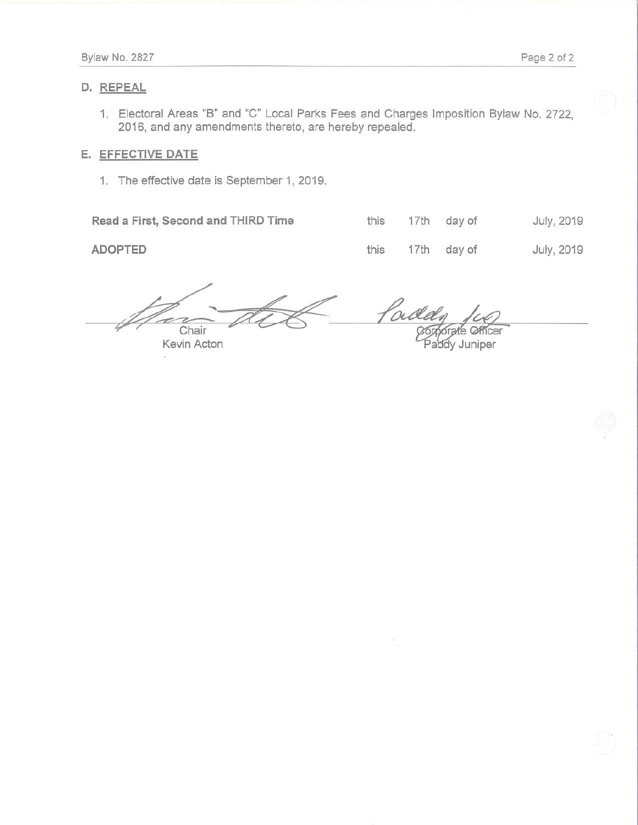### **D. REPEAL**

1. Electoral Areas "B'' and "C" Local Parks Fees and Charges Imposition Bylaw No. 2722, 2016, and any amendments thereto, are hereby repealed.

### **E. EFFECTIVE DATE**

1. The effective date is September 1, 2019.

**Read a First, Second and THIRD Time**  $\qquad$  **this 17th day of July, 2019** 

**ADOPTED 17th day of July, 2019** 

4 Chair Chair Contract Comporate Officer<br>Kevin Acton Paddy Juniper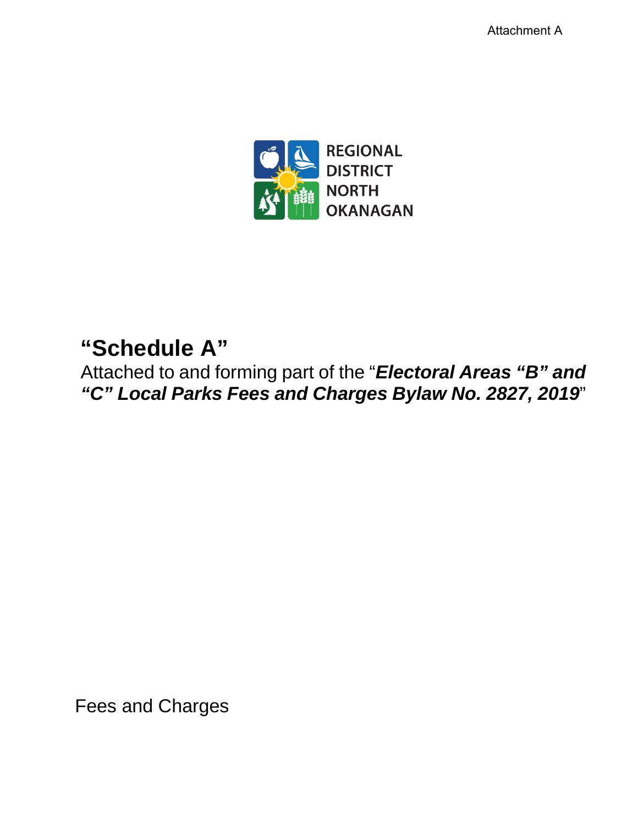Attachment A



# **"Schedule A"**

Attached to and forming part of the "*Electoral Areas "B" and "C" Local Parks Fees and Charges Bylaw No. 2827, 2019*"

Fees and Charges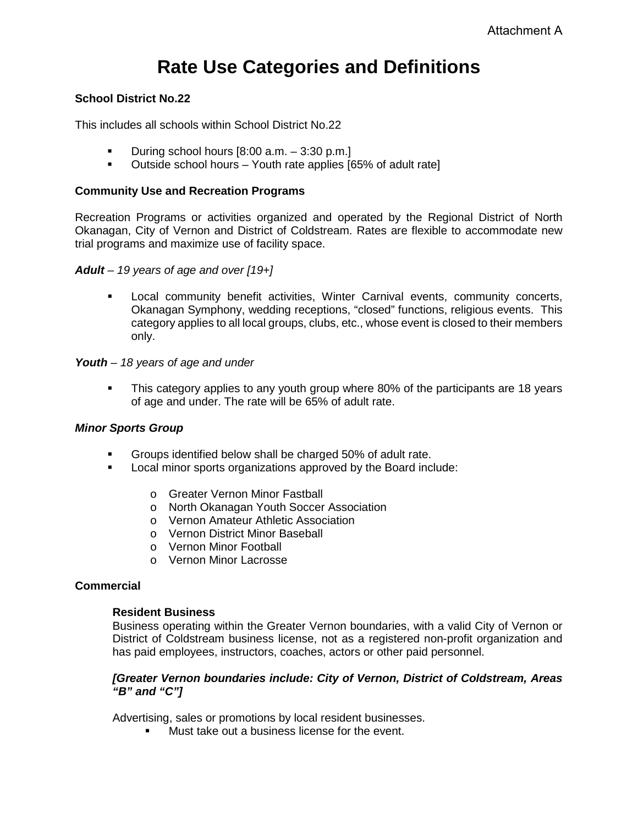# **Rate Use Categories and Definitions**

### **School District No.22**

This includes all schools within School District No.22

- During school hours [8:00 a.m. 3:30 p.m.]
- Outside school hours Youth rate applies [65% of adult rate]

### **Community Use and Recreation Programs**

Recreation Programs or activities organized and operated by the Regional District of North Okanagan, City of Vernon and District of Coldstream. Rates are flexible to accommodate new trial programs and maximize use of facility space.

*Adult – 19 years of age and over [19+]*

 Local community benefit activities, Winter Carnival events, community concerts, Okanagan Symphony, wedding receptions, "closed" functions, religious events. This category applies to all local groups, clubs, etc., whose event is closed to their members only.

### *Youth – 18 years of age and under*

 This category applies to any youth group where 80% of the participants are 18 years of age and under. The rate will be 65% of adult rate.

### *Minor Sports Group*

- Groups identified below shall be charged 50% of adult rate.
- Local minor sports organizations approved by the Board include:
	- o Greater Vernon Minor Fastball
	- o North Okanagan Youth Soccer Association
	- o Vernon Amateur Athletic Association
	- o Vernon District Minor Baseball
	- o Vernon Minor Football
	- o Vernon Minor Lacrosse

### **Commercial**

### **Resident Business**

Business operating within the Greater Vernon boundaries, with a valid City of Vernon or District of Coldstream business license, not as a registered non-profit organization and has paid employees, instructors, coaches, actors or other paid personnel.

### *[Greater Vernon boundaries include: City of Vernon, District of Coldstream, Areas "B" and "C"]*

Advertising, sales or promotions by local resident businesses.

Must take out a business license for the event.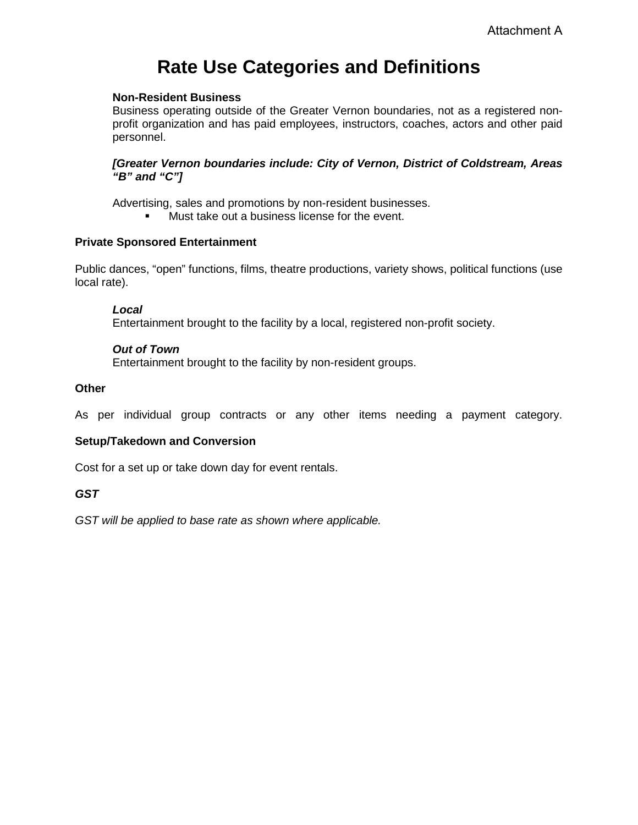# **Rate Use Categories and Definitions**

### **Non-Resident Business**

Business operating outside of the Greater Vernon boundaries, not as a registered nonprofit organization and has paid employees, instructors, coaches, actors and other paid personnel.

### *[Greater Vernon boundaries include: City of Vernon, District of Coldstream, Areas "B" and "C"]*

Advertising, sales and promotions by non-resident businesses.

**Must take out a business license for the event.** 

### **Private Sponsored Entertainment**

Public dances, "open" functions, films, theatre productions, variety shows, political functions (use local rate).

### *Local*

Entertainment brought to the facility by a local, registered non-profit society.

### *Out of Town*

Entertainment brought to the facility by non-resident groups.

### **Other**

As per individual group contracts or any other items needing a payment category.

### **Setup/Takedown and Conversion**

Cost for a set up or take down day for event rentals.

### *GST*

*GST will be applied to base rate as shown where applicable.*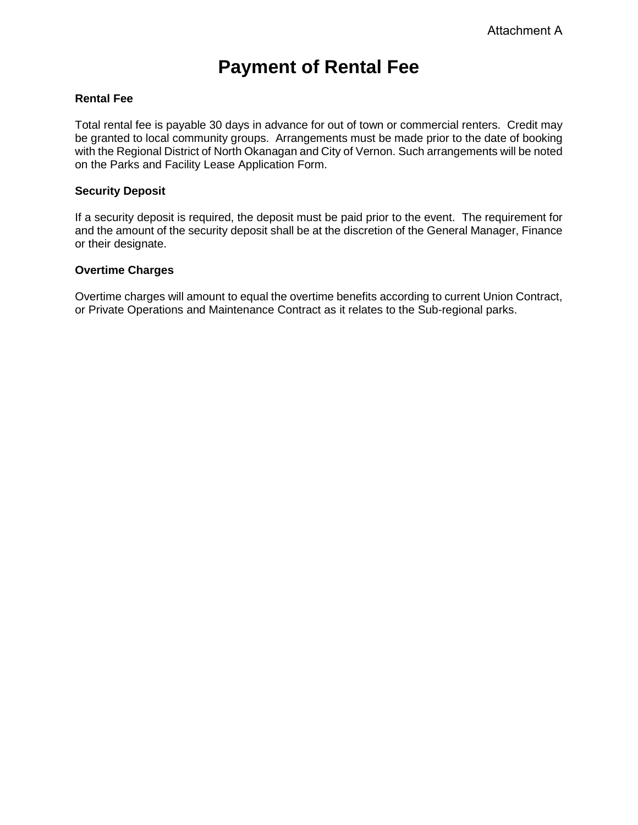### **Payment of Rental Fee**

### **Rental Fee**

Total rental fee is payable 30 days in advance for out of town or commercial renters. Credit may be granted to local community groups. Arrangements must be made prior to the date of booking with the Regional District of North Okanagan and City of Vernon. Such arrangements will be noted on the Parks and Facility Lease Application Form.

#### **Security Deposit**

If a security deposit is required, the deposit must be paid prior to the event. The requirement for and the amount of the security deposit shall be at the discretion of the General Manager, Finance or their designate.

### **Overtime Charges**

Overtime charges will amount to equal the overtime benefits according to current Union Contract, or Private Operations and Maintenance Contract as it relates to the Sub-regional parks.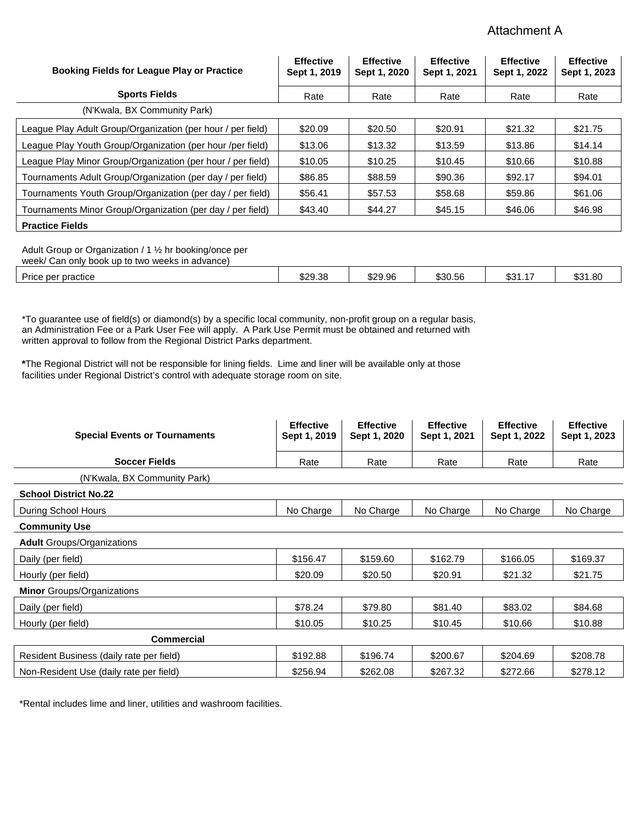### Attachment A

| <b>Booking Fields for League Play or Practice</b>           | <b>Effective</b><br>Sept 1, 2019 | <b>Effective</b><br>Sept 1, 2020 | <b>Effective</b><br>Sept 1, 2021 | <b>Effective</b><br>Sept 1, 2022 | <b>Effective</b><br>Sept 1, 2023 |
|-------------------------------------------------------------|----------------------------------|----------------------------------|----------------------------------|----------------------------------|----------------------------------|
| <b>Sports Fields</b>                                        | Rate                             | Rate                             | Rate                             | Rate                             | Rate                             |
| (N'Kwala, BX Community Park)                                |                                  |                                  |                                  |                                  |                                  |
| League Play Adult Group/Organization (per hour / per field) | \$20.09                          | \$20.50                          | \$20.91                          | \$21.32                          | \$21.75                          |
| League Play Youth Group/Organization (per hour /per field)  | \$13.06                          | \$13.32                          | \$13.59                          | \$13.86                          | \$14.14                          |
| League Play Minor Group/Organization (per hour / per field) | \$10.05                          | \$10.25                          | \$10.45                          | \$10.66                          | \$10.88                          |
| Tournaments Adult Group/Organization (per day / per field)  | \$86.85                          | \$88.59                          | \$90.36                          | \$92.17                          | \$94.01                          |
| Tournaments Youth Group/Organization (per day / per field)  | \$56.41                          | \$57.53                          | \$58.68                          | \$59.86                          | \$61.06                          |
| Tournaments Minor Group/Organization (per day / per field)  | \$43.40                          | \$44.27                          | \$45.15                          | \$46.06                          | \$46.98                          |
| <b>Practice Fields</b>                                      |                                  |                                  |                                  |                                  |                                  |

Adult Group or Organization / 1 ½ hr booking/once per week/ Can only book up to two weeks

| week<br>Can only<br>DOOK UD IO IWO<br>) weeks in auvance) |         |         |         |                   |                           |
|-----------------------------------------------------------|---------|---------|---------|-------------------|---------------------------|
| per practice<br>Price                                     | \$29.38 | \$29.96 | \$30.56 | ጥ ገ<br>، ۱. ۱ ت ټ | .80<br><b>ጡ ገብ</b><br>ພບ≀ |

\*To guarantee use of field(s) or diamond(s) by a specific local community, non-profit group on a regular basis, an Administration Fee or a Park User Fee will apply. A Park Use Permit must be obtained and returned with written approval to follow from the Regional District Parks department.

**\***The Regional District will not be responsible for lining fields. Lime and liner will be available only at those facilities under Regional District's control with adequate storage room on site.

| <b>Special Events or Tournaments</b>     | <b>Effective</b><br>Sept 1, 2019 | <b>Effective</b><br>Sept 1, 2020 | <b>Effective</b><br>Sept 1, 2021 | <b>Effective</b><br>Sept 1, 2022 | <b>Effective</b><br>Sept 1, 2023 |
|------------------------------------------|----------------------------------|----------------------------------|----------------------------------|----------------------------------|----------------------------------|
| <b>Soccer Fields</b>                     | Rate                             | Rate                             | Rate                             | Rate                             | Rate                             |
| (N'Kwala, BX Community Park)             |                                  |                                  |                                  |                                  |                                  |
| <b>School District No.22</b>             |                                  |                                  |                                  |                                  |                                  |
| During School Hours                      | No Charge                        | No Charge                        | No Charge                        | No Charge                        | No Charge                        |
| <b>Community Use</b>                     |                                  |                                  |                                  |                                  |                                  |
| <b>Adult Groups/Organizations</b>        |                                  |                                  |                                  |                                  |                                  |
| Daily (per field)                        | \$156.47                         | \$159.60                         | \$162.79                         | \$166.05                         | \$169.37                         |
| Hourly (per field)                       | \$20.09                          | \$20.50                          | \$20.91                          | \$21.32                          | \$21.75                          |
| <b>Minor</b> Groups/Organizations        |                                  |                                  |                                  |                                  |                                  |
| Daily (per field)                        | \$78.24                          | \$79.80                          | \$81.40                          | \$83.02                          | \$84.68                          |
| Hourly (per field)                       | \$10.05                          | \$10.25                          | \$10.45                          | \$10.66                          | \$10.88                          |
| <b>Commercial</b>                        |                                  |                                  |                                  |                                  |                                  |
| Resident Business (daily rate per field) | \$192.88                         | \$196.74                         | \$200.67                         | \$204.69                         | \$208.78                         |
| Non-Resident Use (daily rate per field)  | \$256.94                         | \$262.08                         | \$267.32                         | \$272.66                         | \$278.12                         |

\*Rental includes lime and liner, utilities and washroom facilities.